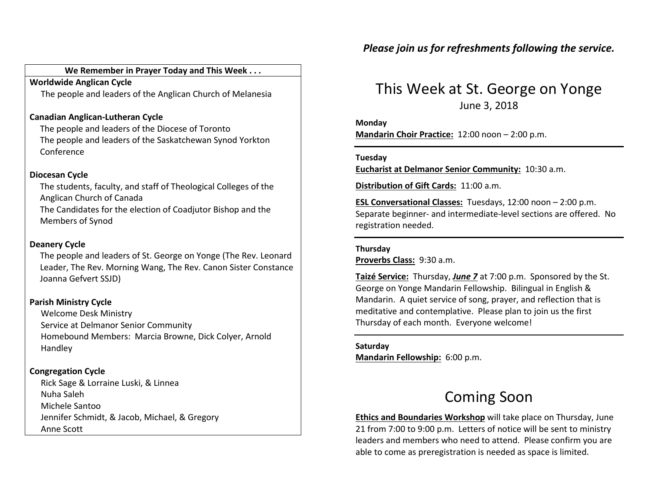# We Remember in Prayer Today and This Week . . .

Worldwide Anglican CycleThe people and leaders of the Anglican Church of Melanesia

# Canadian Anglican-Lutheran Cycle

The people and leaders of the Diocese of Toronto The people and leaders of the Saskatchewan Synod Yorkton Conference

## Diocesan Cycle

The students, faculty, and staff of Theological Colleges of the Anglican Church of Canada The Candidates for the election of Coadjutor Bishop and the Members of Synod

## Deanery Cycle

The people and leaders of St. George on Yonge (The Rev. Leonard Leader, The Rev. Morning Wang, The Rev. Canon Sister Constance Joanna Gefvert SSJD)

# Parish Ministry Cycle

Welcome Desk Ministry Service at Delmanor Senior Community Homebound Members: Marcia Browne, Dick Colyer, Arnold Handley

# Congregation Cycle

 Rick Sage & Lorraine Luski, & Linnea Nuha Saleh Michele Santoo Jennifer Schmidt, & Jacob, Michael, & Gregory Anne Scott

# This Week at St. George on Yonge June 3, 2018

Monday

Mandarin Choir Practice: 12:00 noon – 2:00 p.m.

#### Tuesday

Eucharist at Delmanor Senior Community: 10:30 a.m.

Distribution of Gift Cards: 11:00 a.m.

ESL Conversational Classes: Tuesdays, 12:00 noon – 2:00 p.m. Separate beginner- and intermediate-level sections are offered. No registration needed.

#### Thursday

Proverbs Class: 9:30 a.m.

Taizé Service: Thursday, June 7 at 7:00 p.m. Sponsored by the St. George on Yonge Mandarin Fellowship. Bilingual in English & Mandarin. A quiet service of song, prayer, and reflection that is meditative and contemplative. Please plan to join us the first Thursday of each month. Everyone welcome!

Saturday Mandarin Fellowship: 6:00 p.m.

# Coming Soon

Ethics and Boundaries Workshop will take place on Thursday, June 21 from 7:00 to 9:00 p.m. Letters of notice will be sent to ministry leaders and members who need to attend. Please confirm you are able to come as preregistration is needed as space is limited.